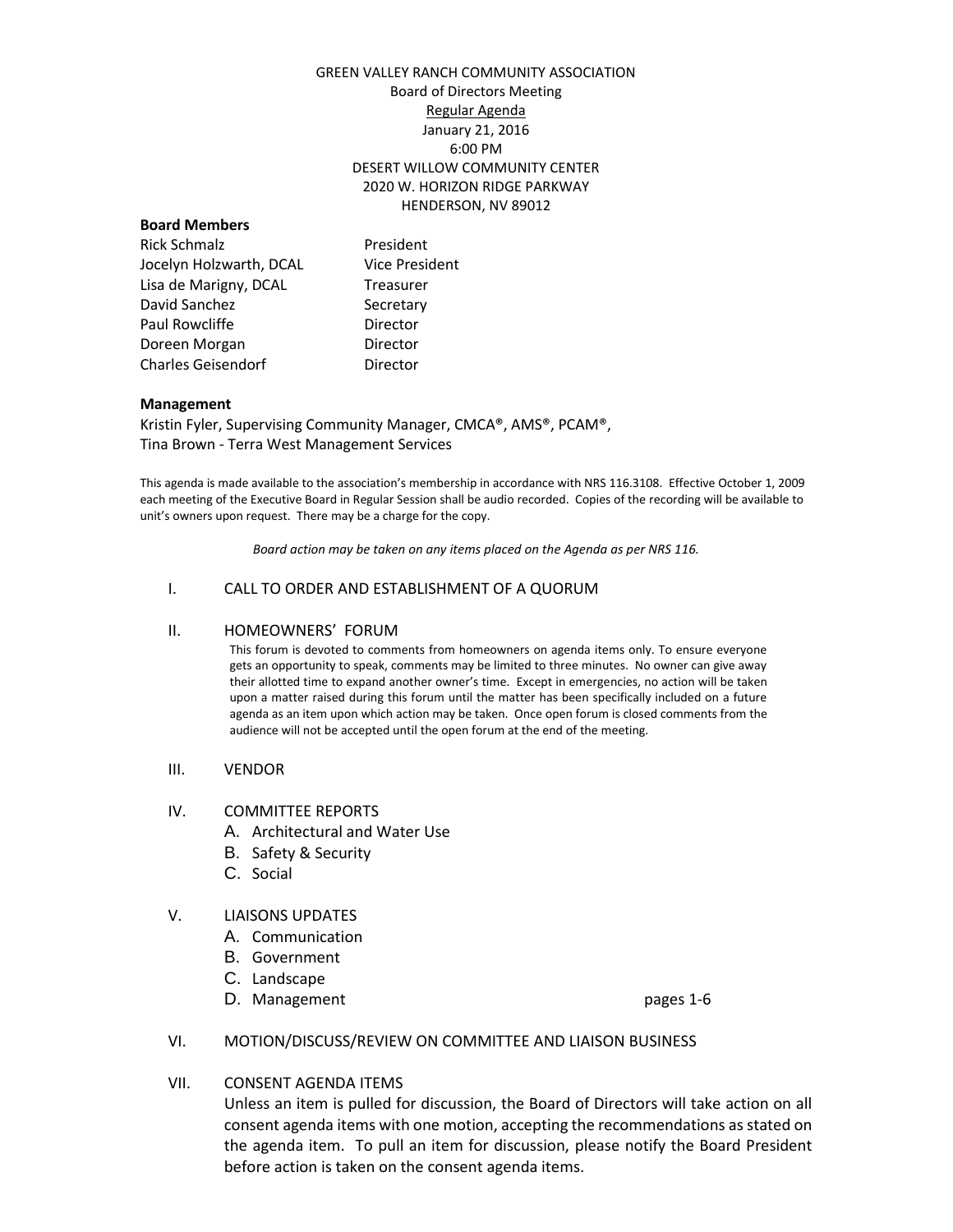## GREEN VALLEY RANCH COMMUNITY ASSOCIATION Board of Directors Meeting Regular Agenda January 21, 2016 6:00 PM DESERT WILLOW COMMUNITY CENTER 2020 W. HORIZON RIDGE PARKWAY HENDERSON, NV 89012

### **Board Members**

Rick Schmalz **President** Jocelyn Holzwarth, DCAL Vice President Lisa de Marigny, DCAL Treasurer David Sanchez Secretary Paul Rowcliffe **Director** Doreen Morgan **Director** Charles Geisendorf **Director** 

#### **Management**

Kristin Fyler, Supervising Community Manager, CMCA®, AMS®, PCAM®, Tina Brown - Terra West Management Services

This agenda is made available to the association's membership in accordance with NRS 116.3108. Effective October 1, 2009 each meeting of the Executive Board in Regular Session shall be audio recorded. Copies of the recording will be available to unit's owners upon request. There may be a charge for the copy.

*Board action may be taken on any items placed on the Agenda as per NRS 116.*

## I. CALL TO ORDER AND ESTABLISHMENT OF A QUORUM

## II. HOMEOWNERS' FORUM

This forum is devoted to comments from homeowners on agenda items only. To ensure everyone gets an opportunity to speak, comments may be limited to three minutes. No owner can give away their allotted time to expand another owner's time. Except in emergencies, no action will be taken upon a matter raised during this forum until the matter has been specifically included on a future agenda as an item upon which action may be taken. Once open forum is closed comments from the audience will not be accepted until the open forum at the end of the meeting.

## III. VENDOR

## IV. COMMITTEE REPORTS

- A. Architectural and Water Use
- B. Safety & Security
- C. Social

## V. LIAISONS UPDATES

- A. Communication
- B. Government
- C. Landscape
- D. Management pages 1-6

#### VI. MOTION/DISCUSS/REVIEW ON COMMITTEE AND LIAISON BUSINESS

## VII. CONSENT AGENDA ITEMS

Unless an item is pulled for discussion, the Board of Directors will take action on all consent agenda items with one motion, accepting the recommendations as stated on the agenda item. To pull an item for discussion, please notify the Board President before action is taken on the consent agenda items.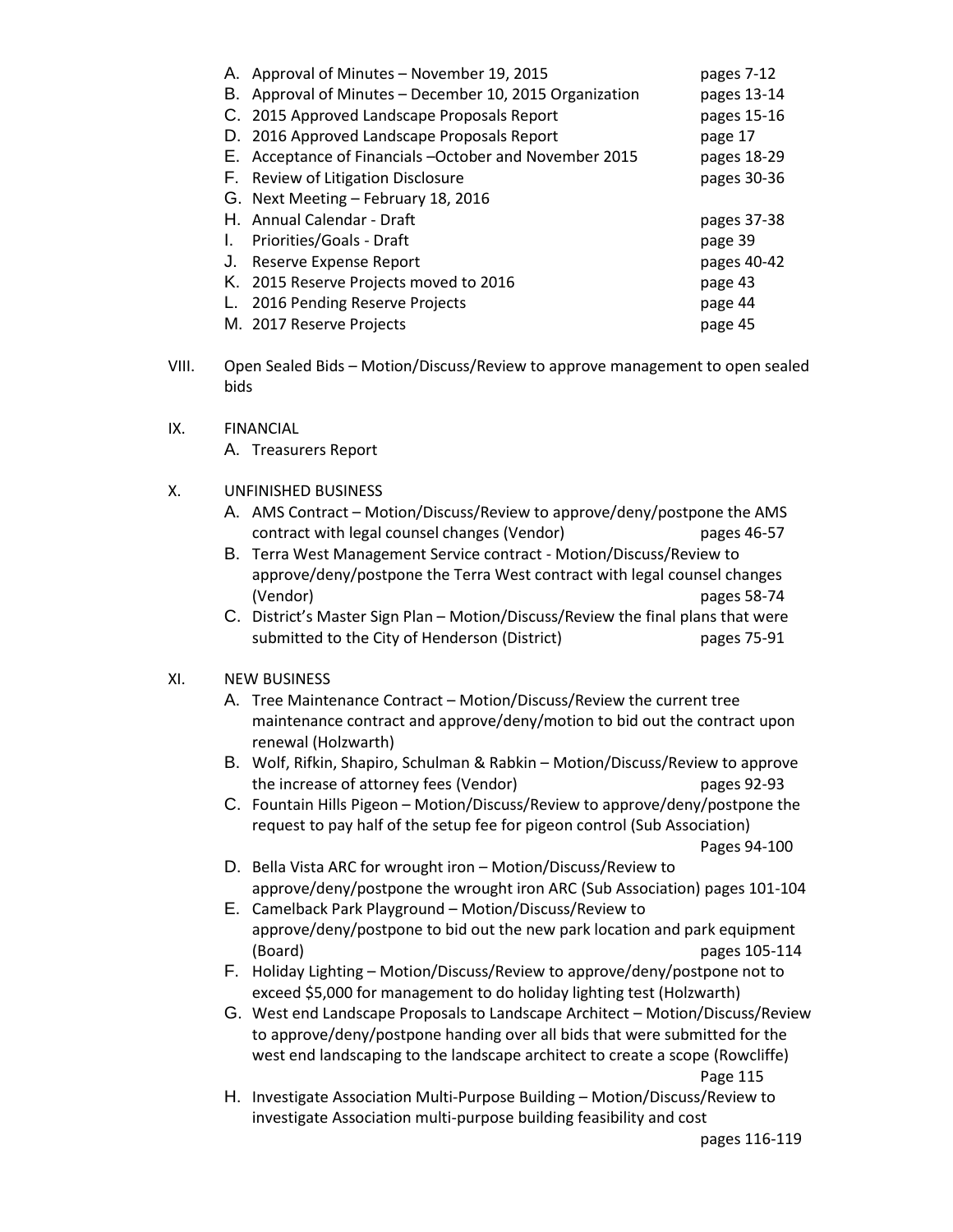|    | A. Approval of Minutes - November 19, 2015             | pages 7-12  |
|----|--------------------------------------------------------|-------------|
| В. | Approval of Minutes - December 10, 2015 Organization   | pages 13-14 |
|    | C. 2015 Approved Landscape Proposals Report            | pages 15-16 |
|    | D. 2016 Approved Landscape Proposals Report            | page 17     |
|    | E. Acceptance of Financials -October and November 2015 | pages 18-29 |
|    | F. Review of Litigation Disclosure                     | pages 30-36 |
|    | G. Next Meeting - February 18, 2016                    |             |
|    | H. Annual Calendar - Draft                             | pages 37-38 |
| L. | Priorities/Goals - Draft                               | page 39     |
| J. | Reserve Expense Report                                 | pages 40-42 |
|    | K. 2015 Reserve Projects moved to 2016                 | page 43     |
|    | 2016 Pending Reserve Projects                          | page 44     |
|    | M. 2017 Reserve Projects                               | page 45     |

- VIII. Open Sealed Bids Motion/Discuss/Review to approve management to open sealed bids
- IX. FINANCIAL

A. Treasurers Report

## X. UNFINISHED BUSINESS

- A. AMS Contract Motion/Discuss/Review to approve/deny/postpone the AMS contract with legal counsel changes (Vendor) pages 46-57
- B. Terra West Management Service contract Motion/Discuss/Review to approve/deny/postpone the Terra West contract with legal counsel changes (Vendor) pages 58-74
- C. District's Master Sign Plan Motion/Discuss/Review the final plans that were submitted to the City of Henderson (District) pages 75-91

# XI. NEW BUSINESS

- A. Tree Maintenance Contract Motion/Discuss/Review the current tree maintenance contract and approve/deny/motion to bid out the contract upon renewal (Holzwarth)
- B. Wolf, Rifkin, Shapiro, Schulman & Rabkin Motion/Discuss/Review to approve the increase of attorney fees (Vendor) pages 92-93
- C. Fountain Hills Pigeon Motion/Discuss/Review to approve/deny/postpone the request to pay half of the setup fee for pigeon control (Sub Association)

Pages 94-100

- D. Bella Vista ARC for wrought iron Motion/Discuss/Review to approve/deny/postpone the wrought iron ARC (Sub Association) pages 101-104
- E. Camelback Park Playground Motion/Discuss/Review to approve/deny/postpone to bid out the new park location and park equipment (Board) pages 105-114
- F. Holiday Lighting Motion/Discuss/Review to approve/deny/postpone not to exceed \$5,000 for management to do holiday lighting test (Holzwarth)
- G. West end Landscape Proposals to Landscape Architect Motion/Discuss/Review to approve/deny/postpone handing over all bids that were submitted for the west end landscaping to the landscape architect to create a scope (Rowcliffe) Page 115
- H. Investigate Association Multi-Purpose Building Motion/Discuss/Review to investigate Association multi-purpose building feasibility and cost

pages 116-119